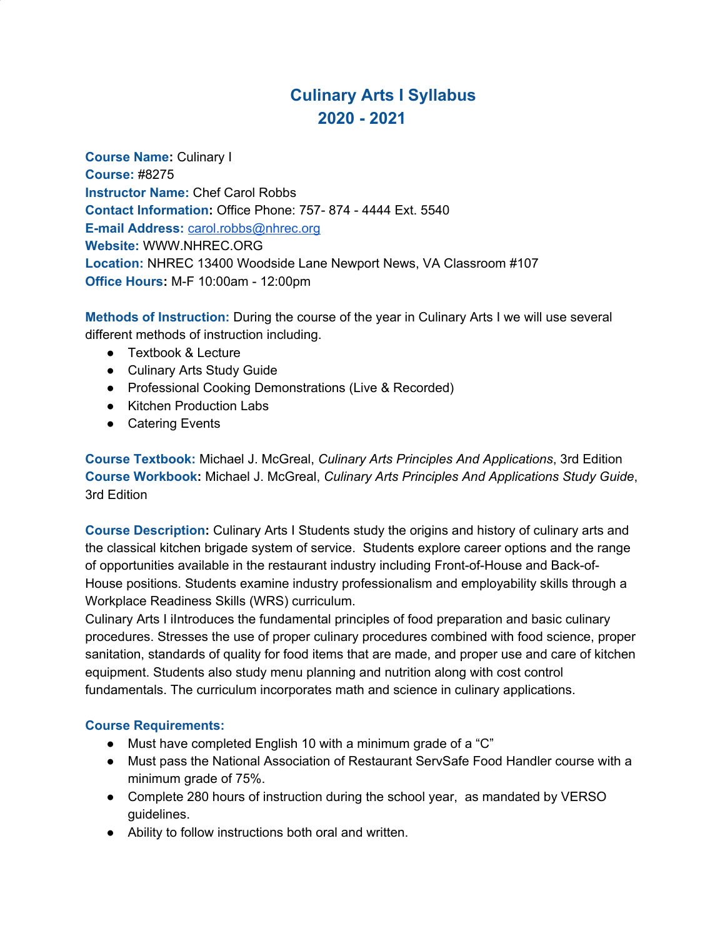# **Culinary Arts I Syllabus 2020 - 2021**

**Course Name:** Culinary I **Course:** #8275 **Instructor Name:** Chef Carol Robbs **Contact Information:** Office Phone: 757- 874 - 4444 Ext. 5540 **E-mail Address:** [carol.robbs@nhrec.org](mailto:carol.robbs@nhrec.org) **Website:** WWW.NHREC.ORG **Location:** NHREC 13400 Woodside Lane Newport News, VA Classroom #107 **Office Hours:** M-F 10:00am - 12:00pm

**Methods of Instruction:** During the course of the year in Culinary Arts I we will use several different methods of instruction including.

- Textbook & Lecture
- Culinary Arts Study Guide
- Professional Cooking Demonstrations (Live & Recorded)
- Kitchen Production Labs
- Catering Events

**Course Textbook:** Michael J. McGreal, *Culinary Arts Principles And Applications*, 3rd Edition **Course Workbook:** Michael J. McGreal, *Culinary Arts Principles And Applications Study Guide*, 3rd Edition

**Course Description:** Culinary Arts I Students study the origins and history of culinary arts and the classical kitchen brigade system of service. Students explore career options and the range of opportunities available in the restaurant industry including Front-of-House and Back-of-House positions. Students examine industry professionalism and employability skills through a Workplace Readiness Skills (WRS) curriculum.

Culinary Arts I iIntroduces the fundamental principles of food preparation and basic culinary procedures. Stresses the use of proper culinary procedures combined with food science, proper sanitation, standards of quality for food items that are made, and proper use and care of kitchen equipment. Students also study menu planning and nutrition along with cost control fundamentals. The curriculum incorporates math and science in culinary applications.

#### **Course Requirements:**

- Must have completed English 10 with a minimum grade of a "C"
- Must pass the National Association of Restaurant ServSafe Food Handler course with a minimum grade of 75%.
- Complete 280 hours of instruction during the school year, as mandated by VERSO guidelines.
- Ability to follow instructions both oral and written.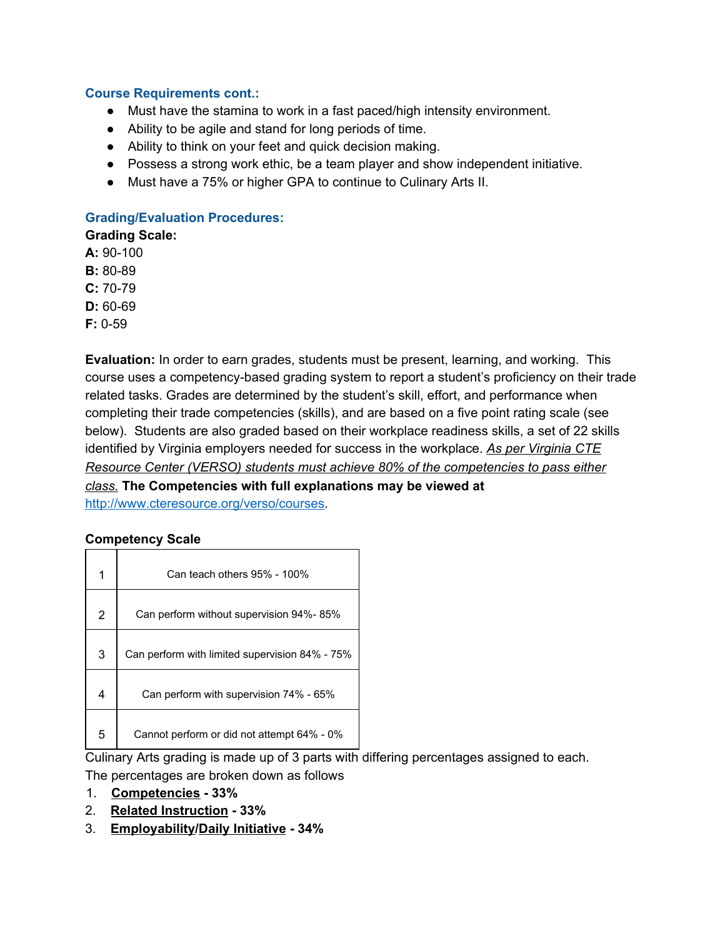#### **Course Requirements cont.:**

- Must have the stamina to work in a fast paced/high intensity environment.
- Ability to be agile and stand for long periods of time.
- Ability to think on your feet and quick decision making.
- Possess a strong work ethic, be a team player and show independent initiative.
- Must have a 75% or higher GPA to continue to Culinary Arts II.

#### **Grading/Evaluation Procedures:**

**Grading Scale:**

**A:** 90-100

**B:** 80-89

- **C:** 70-79
- **D:** 60-69

**F:** 0-59

**Evaluation:** In order to earn grades, students must be present, learning, and working. This course uses a competency-based grading system to report a student's proficiency on their trade related tasks. Grades are determined by the student's skill, effort, and performance when completing their trade competencies (skills), and are based on a five point rating scale (see below). Students are also graded based on their workplace readiness skills, a set of 22 skills identified by Virginia employers needed for success in the workplace. *As per Virginia CTE Resource Center (VERSO) students must achieve 80% of the competencies to pass either class.* **The Competencies with full explanations may be viewed at**

<http://www.cteresource.org/verso/courses>.

#### **Competency Scale**

| 1              | Can teach others 95% - 100%                    |
|----------------|------------------------------------------------|
| $\overline{2}$ | Can perform without supervision 94%-85%        |
| 3              | Can perform with limited supervision 84% - 75% |
| 4              | Can perform with supervision 74% - 65%         |
| 5              | Cannot perform or did not attempt 64% - 0%     |

Culinary Arts grading is made up of 3 parts with differing percentages assigned to each.

The percentages are broken down as follows

- 1. **Competencies - 33%**
- 2. **Related Instruction - 33%**
- 3. **Employability/Daily Initiative - 34%**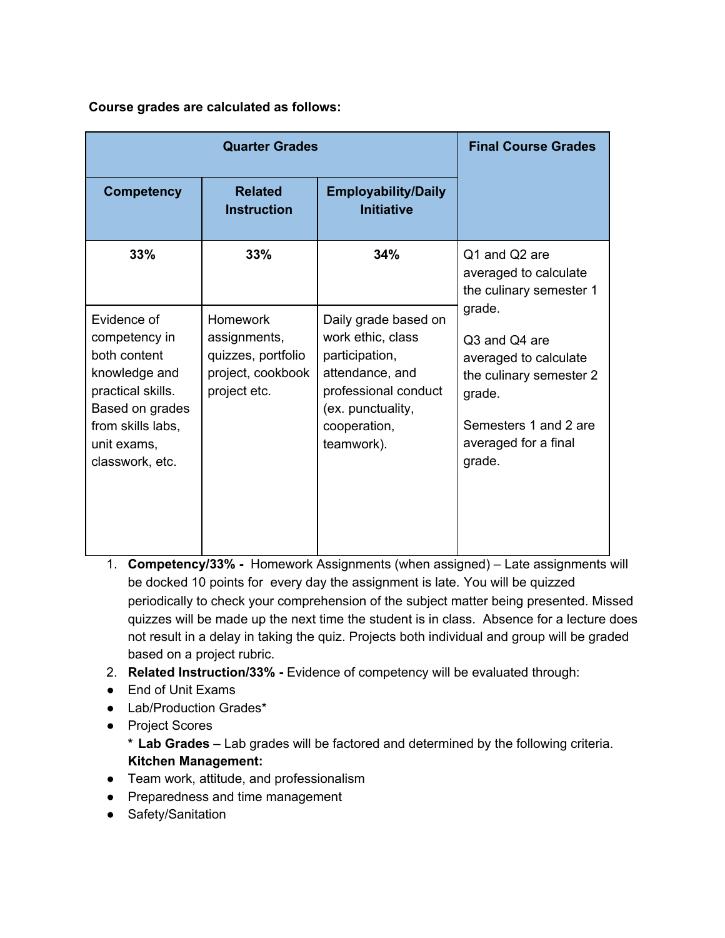**Course grades are calculated as follows:**

|                                                                                                                                                              | <b>Final Course Grades</b>                                                                 |                                                                                                                                                           |                                                                                                                                                  |  |
|--------------------------------------------------------------------------------------------------------------------------------------------------------------|--------------------------------------------------------------------------------------------|-----------------------------------------------------------------------------------------------------------------------------------------------------------|--------------------------------------------------------------------------------------------------------------------------------------------------|--|
| <b>Competency</b>                                                                                                                                            | <b>Related</b><br><b>Instruction</b>                                                       | <b>Employability/Daily</b><br><b>Initiative</b>                                                                                                           |                                                                                                                                                  |  |
| 33%                                                                                                                                                          | 33%                                                                                        | 34%                                                                                                                                                       | Q1 and Q2 are<br>averaged to calculate<br>the culinary semester 1                                                                                |  |
| Evidence of<br>competency in<br>both content<br>knowledge and<br>practical skills.<br>Based on grades<br>from skills labs,<br>unit exams,<br>classwork, etc. | <b>Homework</b><br>assignments,<br>quizzes, portfolio<br>project, cookbook<br>project etc. | Daily grade based on<br>work ethic, class<br>participation,<br>attendance, and<br>professional conduct<br>(ex. punctuality,<br>cooperation,<br>teamwork). | grade.<br>Q3 and Q4 are<br>averaged to calculate<br>the culinary semester 2<br>grade.<br>Semesters 1 and 2 are<br>averaged for a final<br>grade. |  |

- 1. **Competency/33% -** Homework Assignments (when assigned) Late assignments will be docked 10 points for every day the assignment is late. You will be quizzed periodically to check your comprehension of the subject matter being presented. Missed quizzes will be made up the next time the student is in class. Absence for a lecture does not result in a delay in taking the quiz. Projects both individual and group will be graded based on a project rubric.
- 2. **Related Instruction/33% -** Evidence of competency will be evaluated through:
- End of Unit Exams
- Lab/Production Grades\*
- Project Scores

**\* Lab Grades** – Lab grades will be factored and determined by the following criteria. **Kitchen Management:**

- Team work, attitude, and professionalism
- Preparedness and time management
- Safety/Sanitation